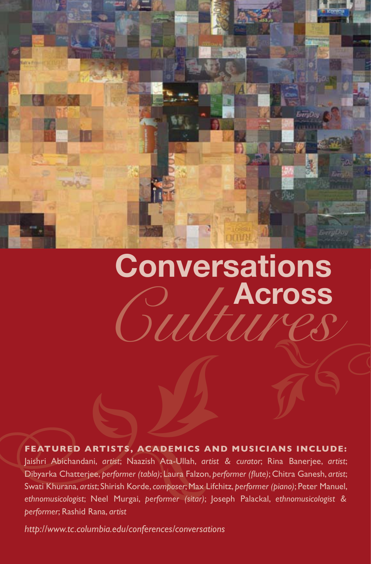

## *Cultures* **Across Conversations** NGC

**FEATURED ARTISTS, ACADEMICS AN**<br>Jaishri Abichandani, *artist*; Naazish Ata-Ullah, *artist*<br>Dibyarka Chatterjee, *performer (tabla)*; Laura Falzon, *pe*<br>Swati Khurana, *artist*; Shirish Korde, *composer*; Max Lifcl<br>ethnomu **FEATURED ARTISTS, ACADEMICS AND MUSICIANS INCLUDE:** Jaishri Abichandani, *artist*; Naazish Ata-Ullah, *artist & curator*; Rina Banerjee, *artist*; Dibyarka Chatterjee, *performer (tabla)*; Laura Falzon, *performer (flute)*; Chitra Ganesh, *artist*; Swati Khurana, *artist*; Shirish Korde,*composer*;Max Lifchitz, *performer (piano)*; Peter Manuel, *ethnomusicologist*; Neel Murgai, *performer (sitar)*; Joseph Palackal, *ethnomusicologist & performer*; Rashid Rana, *artist*

*http://www.tc.columbia.edu/conferences/conversations*